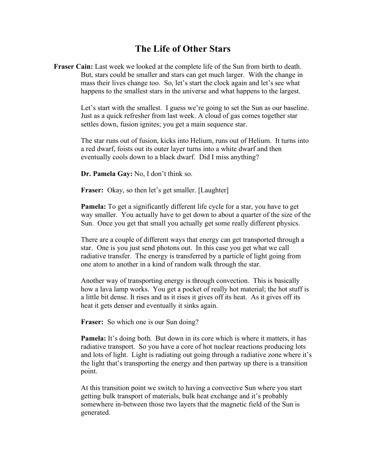## **The Life of Other Stars**

**Fraser Cain:** Last week we looked at the complete life of the Sun from birth to death. But, stars could be smaller and stars can get much larger. With the change in mass their lives change too. So, let's start the clock again and let's see what happens to the smallest stars in the universe and what happens to the largest.

> Let's start with the smallest. I guess we're going to set the Sun as our baseline. Just as a quick refresher from last week. A cloud of gas comes together star settles down, fusion ignites; you get a main sequence star.

> The star runs out of fusion, kicks into Helium, runs out of Helium. It turns into a red dwarf, foists out its outer layer turns into a white dwarf and then eventually cools down to a black dwarf. Did I miss anything?

**Dr. Pamela Gay:** No, I don't think so.

Fraser: Okay, so then let's get smaller. [Laughter]

**Pamela:** To get a significantly different life cycle for a star, you have to get way smaller. You actually have to get down to about a quarter of the size of the Sun. Once you get that small you actually get some really different physics.

There are a couple of different ways that energy can get transported through a star. One is you just send photons out. In this case you get what we call radiative transfer. The energy is transferred by a particle of light going from one atom to another in a kind of random walk through the star.

Another way of transporting energy is through convection. This is basically how a lava lamp works. You get a pocket of really hot material; the hot stuff is a little bit dense. It rises and as it rises it gives off its heat. As it gives off its heat it gets denser and eventually it sinks again.

**Fraser:** So which one is our Sun doing?

**Pamela:** It's doing both. But down in its core which is where it matters, it has radiative transport. So you have a core of hot nuclear reactions producing lots and lots of light. Light is radiating out going through a radiative zone where it's the light that's transporting the energy and then partway up there is a transition point.

At this transition point we switch to having a convective Sun where you start getting bulk transport of materials, bulk heat exchange and it's probably somewhere in-between those two layers that the magnetic field of the Sun is generated.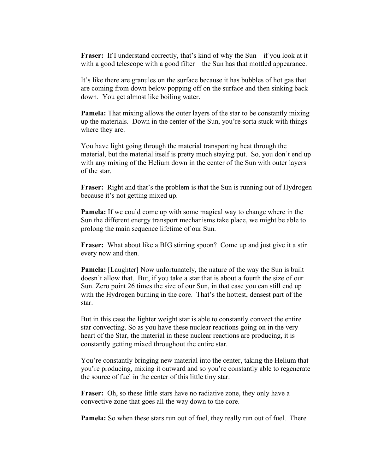**Fraser:** If I understand correctly, that's kind of why the Sun – if you look at it with a good telescope with a good filter – the Sun has that mottled appearance.

It's like there are granules on the surface because it has bubbles of hot gas that are coming from down below popping off on the surface and then sinking back down. You get almost like boiling water.

**Pamela:** That mixing allows the outer layers of the star to be constantly mixing up the materials. Down in the center of the Sun, you're sorta stuck with things where they are.

You have light going through the material transporting heat through the material, but the material itself is pretty much staying put. So, you don't end up with any mixing of the Helium down in the center of the Sun with outer layers of the star.

**Fraser:** Right and that's the problem is that the Sun is running out of Hydrogen because it's not getting mixed up.

**Pamela:** If we could come up with some magical way to change where in the Sun the different energy transport mechanisms take place, we might be able to prolong the main sequence lifetime of our Sun.

**Fraser:** What about like a BIG stirring spoon? Come up and just give it a stir every now and then.

**Pamela:** [Laughter] Now unfortunately, the nature of the way the Sun is built doesn't allow that. But, if you take a star that is about a fourth the size of our Sun. Zero point 26 times the size of our Sun, in that case you can still end up with the Hydrogen burning in the core. That's the hottest, densest part of the star.

But in this case the lighter weight star is able to constantly convect the entire star convecting. So as you have these nuclear reactions going on in the very heart of the Star, the material in these nuclear reactions are producing, it is constantly getting mixed throughout the entire star.

You're constantly bringing new material into the center, taking the Helium that you're producing, mixing it outward and so you're constantly able to regenerate the source of fuel in the center of this little tiny star.

**Fraser:** Oh, so these little stars have no radiative zone, they only have a convective zone that goes all the way down to the core.

**Pamela:** So when these stars run out of fuel, they really run out of fuel. There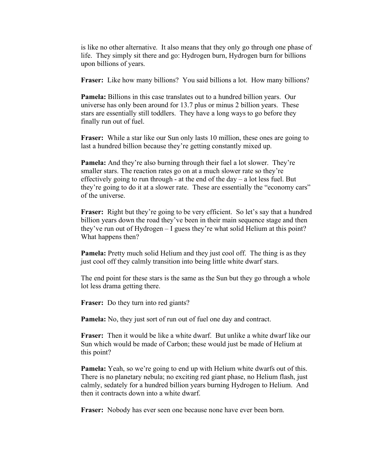is like no other alternative. It also means that they only go through one phase of life. They simply sit there and go: Hydrogen burn, Hydrogen burn for billions upon billions of years.

**Fraser:** Like how many billions? You said billions a lot. How many billions?

**Pamela:** Billions in this case translates out to a hundred billion years. Our universe has only been around for 13.7 plus or minus 2 billion years. These stars are essentially still toddlers. They have a long ways to go before they finally run out of fuel.

**Fraser:** While a star like our Sun only lasts 10 million, these ones are going to last a hundred billion because they're getting constantly mixed up.

**Pamela:** And they're also burning through their fuel a lot slower. They're smaller stars. The reaction rates go on at a much slower rate so they're effectively going to run through - at the end of the day  $-$  a lot less fuel. But they're going to do it at a slower rate. These are essentially the "economy cars" of the universe.

**Fraser:** Right but they're going to be very efficient. So let's say that a hundred billion years down the road they've been in their main sequence stage and then they've run out of Hydrogen – I guess they're what solid Helium at this point? What happens then?

**Pamela:** Pretty much solid Helium and they just cool off. The thing is as they just cool off they calmly transition into being little white dwarf stars.

The end point for these stars is the same as the Sun but they go through a whole lot less drama getting there.

**Fraser:** Do they turn into red giants?

**Pamela:** No, they just sort of run out of fuel one day and contract.

**Fraser:** Then it would be like a white dwarf. But unlike a white dwarf like our Sun which would be made of Carbon; these would just be made of Helium at this point?

**Pamela:** Yeah, so we're going to end up with Helium white dwarfs out of this. There is no planetary nebula; no exciting red giant phase, no Helium flash, just calmly, sedately for a hundred billion years burning Hydrogen to Helium. And then it contracts down into a white dwarf.

**Fraser:** Nobody has ever seen one because none have ever been born.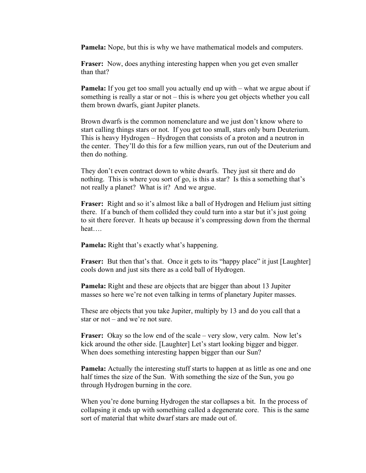**Pamela:** Nope, but this is why we have mathematical models and computers.

**Fraser:** Now, does anything interesting happen when you get even smaller than that?

**Pamela:** If you get too small you actually end up with – what we argue about if something is really a star or not – this is where you get objects whether you call them brown dwarfs, giant Jupiter planets.

Brown dwarfs is the common nomenclature and we just don't know where to start calling things stars or not. If you get too small, stars only burn Deuterium. This is heavy Hydrogen – Hydrogen that consists of a proton and a neutron in the center. They'll do this for a few million years, run out of the Deuterium and then do nothing.

They don't even contract down to white dwarfs. They just sit there and do nothing. This is where you sort of go, is this a star? Is this a something that's not really a planet? What is it? And we argue.

**Fraser:** Right and so it's almost like a ball of Hydrogen and Helium just sitting there. If a bunch of them collided they could turn into a star but it's just going to sit there forever. It heats up because it's compressing down from the thermal heat….

**Pamela:** Right that's exactly what's happening.

**Fraser:** But then that's that. Once it gets to its "happy place" it just [Laughter] cools down and just sits there as a cold ball of Hydrogen.

**Pamela:** Right and these are objects that are bigger than about 13 Jupiter masses so here we're not even talking in terms of planetary Jupiter masses.

These are objects that you take Jupiter, multiply by 13 and do you call that a star or not – and we're not sure.

**Fraser:** Okay so the low end of the scale – very slow, very calm. Now let's kick around the other side. [Laughter] Let's start looking bigger and bigger. When does something interesting happen bigger than our Sun?

**Pamela:** Actually the interesting stuff starts to happen at as little as one and one half times the size of the Sun. With something the size of the Sun, you go through Hydrogen burning in the core.

When you're done burning Hydrogen the star collapses a bit. In the process of collapsing it ends up with something called a degenerate core. This is the same sort of material that white dwarf stars are made out of.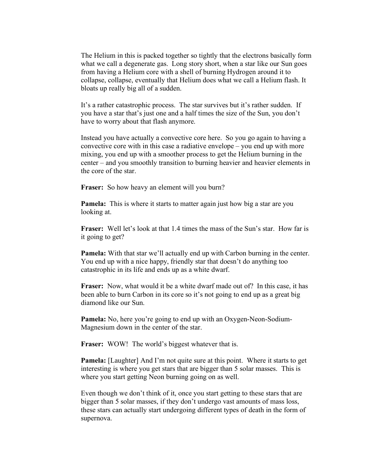The Helium in this is packed together so tightly that the electrons basically form what we call a degenerate gas. Long story short, when a star like our Sun goes from having a Helium core with a shell of burning Hydrogen around it to collapse, collapse, eventually that Helium does what we call a Helium flash. It bloats up really big all of a sudden.

It's a rather catastrophic process. The star survives but it's rather sudden. If you have a star that's just one and a half times the size of the Sun, you don't have to worry about that flash anymore.

Instead you have actually a convective core here. So you go again to having a convective core with in this case a radiative envelope – you end up with more mixing, you end up with a smoother process to get the Helium burning in the center – and you smoothly transition to burning heavier and heavier elements in the core of the star.

Fraser: So how heavy an element will you burn?

**Pamela:** This is where it starts to matter again just how big a star are you looking at.

**Fraser:** Well let's look at that 1.4 times the mass of the Sun's star. How far is it going to get?

**Pamela:** With that star we'll actually end up with Carbon burning in the center. You end up with a nice happy, friendly star that doesn't do anything too catastrophic in its life and ends up as a white dwarf.

**Fraser:** Now, what would it be a white dwarf made out of? In this case, it has been able to burn Carbon in its core so it's not going to end up as a great big diamond like our Sun.

**Pamela:** No, here you're going to end up with an Oxygen-Neon-Sodium-Magnesium down in the center of the star.

**Fraser:** WOW! The world's biggest whatever that is.

**Pamela:** [Laughter] And I'm not quite sure at this point. Where it starts to get interesting is where you get stars that are bigger than 5 solar masses. This is where you start getting Neon burning going on as well.

Even though we don't think of it, once you start getting to these stars that are bigger than 5 solar masses, if they don't undergo vast amounts of mass loss, these stars can actually start undergoing different types of death in the form of supernova.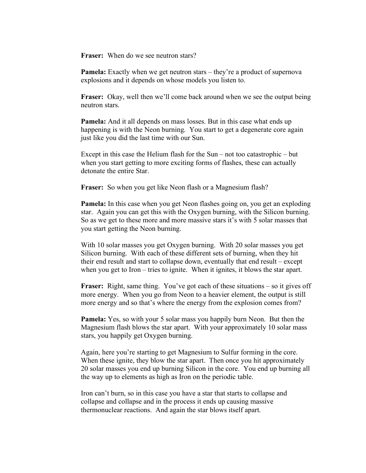**Fraser:** When do we see neutron stars?

**Pamela:** Exactly when we get neutron stars – they're a product of supernova explosions and it depends on whose models you listen to.

**Fraser:** Okay, well then we'll come back around when we see the output being neutron stars.

**Pamela:** And it all depends on mass losses. But in this case what ends up happening is with the Neon burning. You start to get a degenerate core again just like you did the last time with our Sun.

Except in this case the Helium flash for the Sun – not too catastrophic – but when you start getting to more exciting forms of flashes, these can actually detonate the entire Star.

**Fraser:** So when you get like Neon flash or a Magnesium flash?

**Pamela:** In this case when you get Neon flashes going on, you get an exploding star. Again you can get this with the Oxygen burning, with the Silicon burning. So as we get to these more and more massive stars it's with 5 solar masses that you start getting the Neon burning.

With 10 solar masses you get Oxygen burning. With 20 solar masses you get Silicon burning. With each of these different sets of burning, when they hit their end result and start to collapse down, eventually that end result – except when you get to Iron – tries to ignite. When it ignites, it blows the star apart.

**Fraser:** Right, same thing. You've got each of these situations – so it gives off more energy. When you go from Neon to a heavier element, the output is still more energy and so that's where the energy from the explosion comes from?

**Pamela:** Yes, so with your 5 solar mass you happily burn Neon. But then the Magnesium flash blows the star apart. With your approximately 10 solar mass stars, you happily get Oxygen burning.

Again, here you're starting to get Magnesium to Sulfur forming in the core. When these ignite, they blow the star apart. Then once you hit approximately 20 solar masses you end up burning Silicon in the core. You end up burning all the way up to elements as high as Iron on the periodic table.

Iron can't burn, so in this case you have a star that starts to collapse and collapse and collapse and in the process it ends up causing massive thermonuclear reactions. And again the star blows itself apart.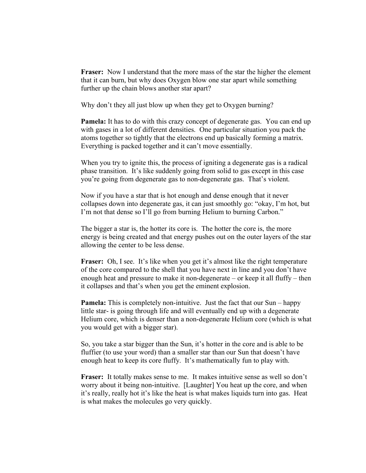**Fraser:** Now I understand that the more mass of the star the higher the element that it can burn, but why does Oxygen blow one star apart while something further up the chain blows another star apart?

Why don't they all just blow up when they get to Oxygen burning?

**Pamela:** It has to do with this crazy concept of degenerate gas. You can end up with gases in a lot of different densities. One particular situation you pack the atoms together so tightly that the electrons end up basically forming a matrix. Everything is packed together and it can't move essentially.

When you try to ignite this, the process of igniting a degenerate gas is a radical phase transition. It's like suddenly going from solid to gas except in this case you're going from degenerate gas to non-degenerate gas. That's violent.

Now if you have a star that is hot enough and dense enough that it never collapses down into degenerate gas, it can just smoothly go: "okay, I'm hot, but I'm not that dense so I'll go from burning Helium to burning Carbon."

The bigger a star is, the hotter its core is. The hotter the core is, the more energy is being created and that energy pushes out on the outer layers of the star allowing the center to be less dense.

**Fraser:** Oh, I see. It's like when you get it's almost like the right temperature of the core compared to the shell that you have next in line and you don't have enough heat and pressure to make it non-degenerate – or keep it all fluffy – then it collapses and that's when you get the eminent explosion.

**Pamela:** This is completely non-intuitive. Just the fact that our Sun – happy little star- is going through life and will eventually end up with a degenerate Helium core, which is denser than a non-degenerate Helium core (which is what you would get with a bigger star).

So, you take a star bigger than the Sun, it's hotter in the core and is able to be fluffier (to use your word) than a smaller star than our Sun that doesn't have enough heat to keep its core fluffy. It's mathematically fun to play with.

**Fraser:** It totally makes sense to me. It makes intuitive sense as well so don't worry about it being non-intuitive. [Laughter] You heat up the core, and when it's really, really hot it's like the heat is what makes liquids turn into gas. Heat is what makes the molecules go very quickly.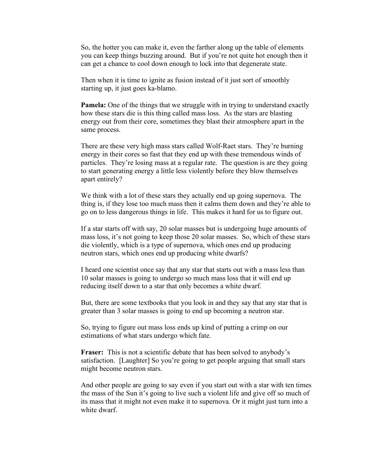So, the hotter you can make it, even the farther along up the table of elements you can keep things buzzing around. But if you're not quite hot enough then it can get a chance to cool down enough to lock into that degenerate state.

Then when it is time to ignite as fusion instead of it just sort of smoothly starting up, it just goes ka-blamo.

**Pamela:** One of the things that we struggle with in trying to understand exactly how these stars die is this thing called mass loss. As the stars are blasting energy out from their core, sometimes they blast their atmosphere apart in the same process.

There are these very high mass stars called Wolf-Raet stars. They're burning energy in their cores so fast that they end up with these tremendous winds of particles. They're losing mass at a regular rate. The question is are they going to start generating energy a little less violently before they blow themselves apart entirely?

We think with a lot of these stars they actually end up going supernova. The thing is, if they lose too much mass then it calms them down and they're able to go on to less dangerous things in life. This makes it hard for us to figure out.

If a star starts off with say, 20 solar masses but is undergoing huge amounts of mass loss, it's not going to keep those 20 solar masses. So, which of these stars die violently, which is a type of supernova, which ones end up producing neutron stars, which ones end up producing white dwarfs?

I heard one scientist once say that any star that starts out with a mass less than 10 solar masses is going to undergo so much mass loss that it will end up reducing itself down to a star that only becomes a white dwarf.

But, there are some textbooks that you look in and they say that any star that is greater than 3 solar masses is going to end up becoming a neutron star.

So, trying to figure out mass loss ends up kind of putting a crimp on our estimations of what stars undergo which fate.

**Fraser:** This is not a scientific debate that has been solved to anybody's satisfaction. [Laughter] So you're going to get people arguing that small stars might become neutron stars.

And other people are going to say even if you start out with a star with ten times the mass of the Sun it's going to live such a violent life and give off so much of its mass that it might not even make it to supernova. Or it might just turn into a white dwarf.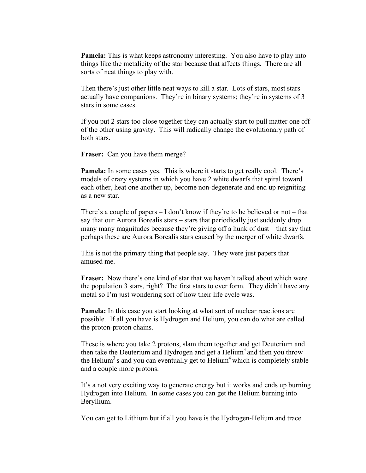**Pamela:** This is what keeps astronomy interesting. You also have to play into things like the metalicity of the star because that affects things. There are all sorts of neat things to play with.

Then there's just other little neat ways to kill a star. Lots of stars, most stars actually have companions. They're in binary systems; they're in systems of 3 stars in some cases.

If you put 2 stars too close together they can actually start to pull matter one off of the other using gravity. This will radically change the evolutionary path of both stars.

**Fraser:** Can you have them merge?

**Pamela:** In some cases yes. This is where it starts to get really cool. There's models of crazy systems in which you have 2 white dwarfs that spiral toward each other, heat one another up, become non-degenerate and end up reigniting as a new star.

There's a couple of papers  $-1$  don't know if they're to be believed or not – that say that our Aurora Borealis stars – stars that periodically just suddenly drop many many magnitudes because they're giving off a hunk of dust – that say that perhaps these are Aurora Borealis stars caused by the merger of white dwarfs.

This is not the primary thing that people say. They were just papers that amused me.

**Fraser:** Now there's one kind of star that we haven't talked about which were the population 3 stars, right? The first stars to ever form. They didn't have any metal so I'm just wondering sort of how their life cycle was.

**Pamela:** In this case you start looking at what sort of nuclear reactions are possible. If all you have is Hydrogen and Helium, you can do what are called the proton-proton chains.

These is where you take 2 protons, slam them together and get Deuterium and then take the Deuterium and Hydrogen and get a Helium<sup>3</sup> and then you throw the Helium<sup>3</sup> s and you can eventually get to Helium<sup>4</sup> which is completely stable and a couple more protons.

It's a not very exciting way to generate energy but it works and ends up burning Hydrogen into Helium. In some cases you can get the Helium burning into Beryllium.

You can get to Lithium but if all you have is the Hydrogen-Helium and trace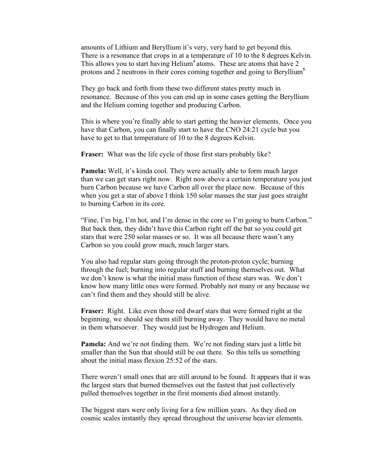amounts of Lithium and Beryllium it's very, very hard to get beyond this. There is a resonance that crops in at a temperature of 10 to the 8 degrees Kelvin. This allows you to start having  $Helium<sup>4</sup> atoms$ . These are atoms that have 2 protons and 2 neutrons in their cores coming together and going to Beryllium<sup>8.</sup>

They go back and forth from these two different states pretty much in resonance. Because of this you can end up in some cases getting the Beryllium and the Helium coming together and producing Carbon.

This is where you're finally able to start getting the heavier elements. Once you have that Carbon, you can finally start to have the CNO 24:21 cycle but you have to get to that temperature of 10 to the 8 degrees Kelvin.

**Fraser:** What was the life cycle of those first stars probably like?

**Pamela:** Well, it's kinda cool. They were actually able to form much larger than we can get stars right now. Right now above a certain temperature you just burn Carbon because we have Carbon all over the place now. Because of this when you get a star of above I think 150 solar masses the star just goes straight to burning Carbon in its core.

"Fine, I'm big, I'm hot, and I'm dense in the core so I'm going to burn Carbon." But back then, they didn't have this Carbon right off the bat so you could get stars that were 250 solar masses or so. It was all because there wasn't any Carbon so you could grow much, much larger stars.

You also had regular stars going through the proton-proton cycle; burning through the fuel; burning into regular stuff and burning themselves out. What we don't know is what the initial mass function of these stars was. We don't know how many little ones were formed. Probably not many or any because we can't find them and they should still be alive.

**Fraser:** Right. Like even those red dwarf stars that were formed right at the beginning, we should see them still burning away. They would have no metal in them whatsoever. They would just be Hydrogen and Helium.

**Pamela:** And we're not finding them. We're not finding stars just a little bit smaller than the Sun that should still be out there. So this tells us something about the initial mass flexion 25:52 of the stars.

There weren't small ones that are still around to be found. It appears that it was the largest stars that burned themselves out the fastest that just collectively pulled themselves together in the first moments died almost instantly.

The biggest stars were only living for a few million years. As they died on cosmic scales instantly they spread throughout the universe heavier elements.